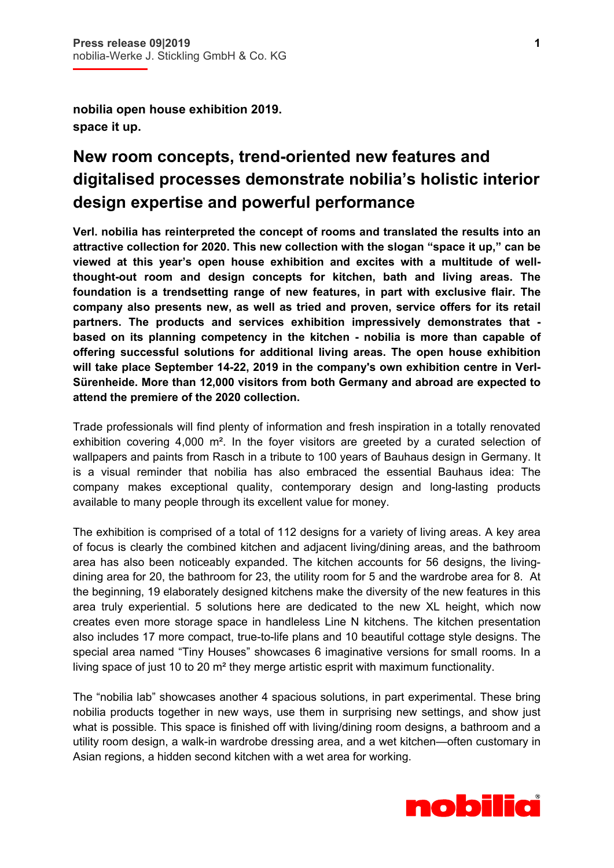i

**nobilia open house exhibition 2019. space it up.** 

## **New room concepts, trend-oriented new features and digitalised processes demonstrate nobilia's holistic interior design expertise and powerful performance**

**Verl. nobilia has reinterpreted the concept of rooms and translated the results into an attractive collection for 2020. This new collection with the slogan "space it up," can be viewed at this year's open house exhibition and excites with a multitude of wellthought-out room and design concepts for kitchen, bath and living areas. The foundation is a trendsetting range of new features, in part with exclusive flair. The company also presents new, as well as tried and proven, service offers for its retail partners. The products and services exhibition impressively demonstrates that based on its planning competency in the kitchen - nobilia is more than capable of offering successful solutions for additional living areas. The open house exhibition will take place September 14-22, 2019 in the company's own exhibition centre in Verl-Sürenheide. More than 12,000 visitors from both Germany and abroad are expected to attend the premiere of the 2020 collection.** 

Trade professionals will find plenty of information and fresh inspiration in a totally renovated exhibition covering  $4,000$  m<sup>2</sup>. In the foyer visitors are greeted by a curated selection of wallpapers and paints from Rasch in a tribute to 100 years of Bauhaus design in Germany. It is a visual reminder that nobilia has also embraced the essential Bauhaus idea: The company makes exceptional quality, contemporary design and long-lasting products available to many people through its excellent value for money.

The exhibition is comprised of a total of 112 designs for a variety of living areas. A key area of focus is clearly the combined kitchen and adjacent living/dining areas, and the bathroom area has also been noticeably expanded. The kitchen accounts for 56 designs, the livingdining area for 20, the bathroom for 23, the utility room for 5 and the wardrobe area for 8. At the beginning, 19 elaborately designed kitchens make the diversity of the new features in this area truly experiential. 5 solutions here are dedicated to the new XL height, which now creates even more storage space in handleless Line N kitchens. The kitchen presentation also includes 17 more compact, true-to-life plans and 10 beautiful cottage style designs. The special area named "Tiny Houses" showcases 6 imaginative versions for small rooms. In a living space of just 10 to 20 m² they merge artistic esprit with maximum functionality.

The "nobilia lab" showcases another 4 spacious solutions, in part experimental. These bring nobilia products together in new ways, use them in surprising new settings, and show just what is possible. This space is finished off with living/dining room designs, a bathroom and a utility room design, a walk-in wardrobe dressing area, and a wet kitchen—often customary in Asian regions, a hidden second kitchen with a wet area for working.

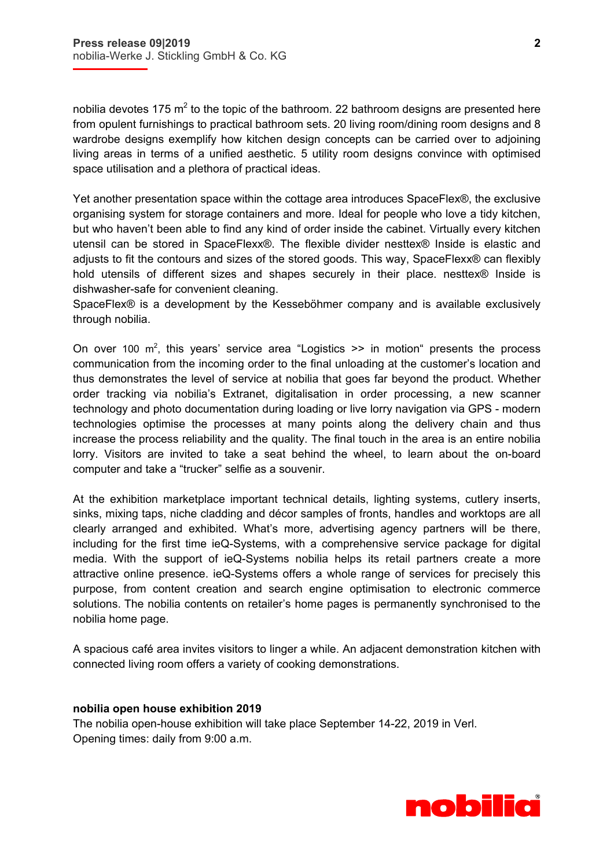i

nobilia devotes 175 m<sup>2</sup> to the topic of the bathroom. 22 bathroom designs are presented here from opulent furnishings to practical bathroom sets. 20 living room/dining room designs and 8 wardrobe designs exemplify how kitchen design concepts can be carried over to adjoining living areas in terms of a unified aesthetic. 5 utility room designs convince with optimised space utilisation and a plethora of practical ideas.

Yet another presentation space within the cottage area introduces SpaceFlex®, the exclusive organising system for storage containers and more. Ideal for people who love a tidy kitchen, but who haven't been able to find any kind of order inside the cabinet. Virtually every kitchen utensil can be stored in SpaceFlexx®. The flexible divider nesttex® Inside is elastic and adjusts to fit the contours and sizes of the stored goods. This way, SpaceFlexx® can flexibly hold utensils of different sizes and shapes securely in their place. nesttex® Inside is dishwasher-safe for convenient cleaning.

SpaceFlex® is a development by the Kesseböhmer company and is available exclusively through nobilia.

On over 100  $m^2$ , this years' service area "Logistics  $\gg$  in motion" presents the process communication from the incoming order to the final unloading at the customer's location and thus demonstrates the level of service at nobilia that goes far beyond the product. Whether order tracking via nobilia's Extranet, digitalisation in order processing, a new scanner technology and photo documentation during loading or live lorry navigation via GPS - modern technologies optimise the processes at many points along the delivery chain and thus increase the process reliability and the quality. The final touch in the area is an entire nobilia lorry. Visitors are invited to take a seat behind the wheel, to learn about the on-board computer and take a "trucker" selfie as a souvenir.

At the exhibition marketplace important technical details, lighting systems, cutlery inserts, sinks, mixing taps, niche cladding and décor samples of fronts, handles and worktops are all clearly arranged and exhibited. What's more, advertising agency partners will be there, including for the first time ieQ-Systems, with a comprehensive service package for digital media. With the support of ieQ-Systems nobilia helps its retail partners create a more attractive online presence. ieQ-Systems offers a whole range of services for precisely this purpose, from content creation and search engine optimisation to electronic commerce solutions. The nobilia contents on retailer's home pages is permanently synchronised to the nobilia home page.

A spacious café area invites visitors to linger a while. An adjacent demonstration kitchen with connected living room offers a variety of cooking demonstrations.

## **nobilia open house exhibition 2019**

The nobilia open-house exhibition will take place September 14-22, 2019 in Verl. Opening times: daily from 9:00 a.m.